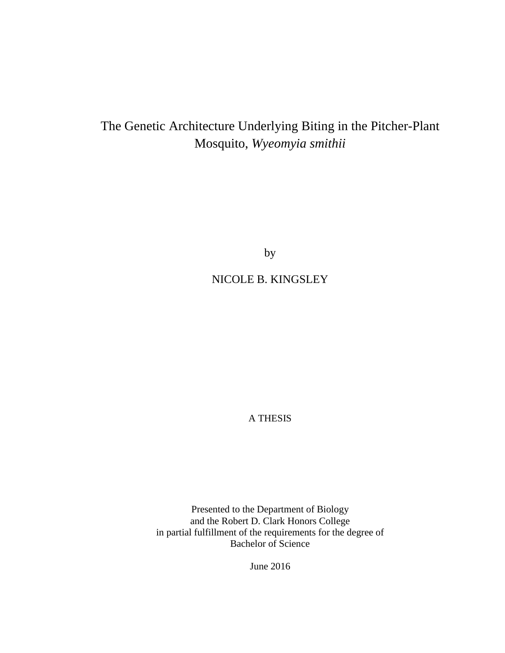# The Genetic Architecture Underlying Biting in the Pitcher-Plant Mosquito, *Wyeomyia smithii*

by

# NICOLE B. KINGSLEY

A THESIS

Presented to the Department of Biology and the Robert D. Clark Honors College in partial fulfillment of the requirements for the degree of Bachelor of Science

June 2016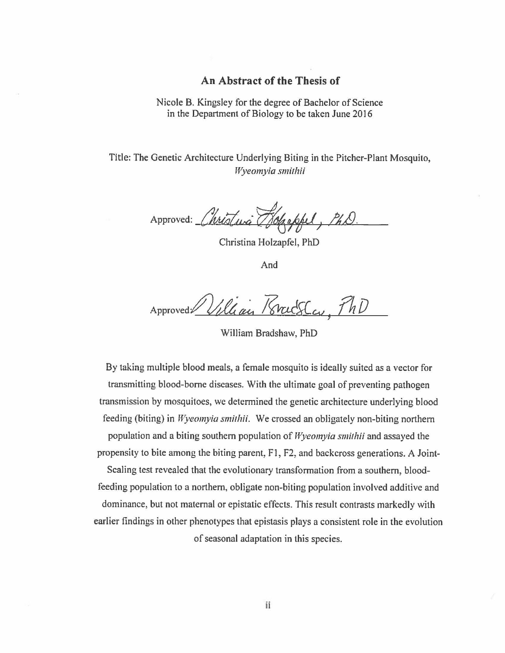#### **An Abstract of the Thesis of**

Nicole B. Kingsley for the degree of Bachelor of Science in the Department of Biology to be taken June 2016

Title: The Genetic Architecture Underlying Biting in the Pitcher-Plant Mosquito, *Wyeomyia smithii* 

**Approved:** *t.k;t,,,a·* **~#,IJ** *!.ll)* 

Christina Holzapfel, PhD

And

Approved William Practice, PhD

William Bradshaw, PhD

By taking multiple blood meals, a female mosquito is ideally suited as a vector for transmitting blood-borne diseases. With the ultimate goal of preventing pathogen transmission by mosquitoes, we determined the genetic architecture underlying blood feeding (biting) in *Wyeomyia smilhii.* We crossed an obligately non-biting northern population and a biting southern population of *Wj,eomyia smithii* and assayed the propensity to bite among the biting parent, Fl, F2, and backcross generations. A Joint-Scaling test revealed that the evolutionary transformation from a southern, bloodfeeding population to a northern, obligate non-biting population involved additive and dominance, but not maternal or epistatic effects. This result contrasts markedly with earlier findings in other phenotypes that epistasis plays a consistent role in the evolution

of seasonal adaptation in this species.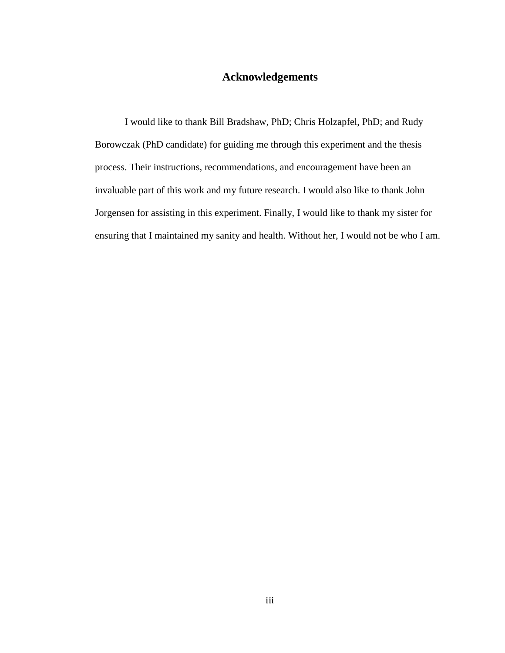## **Acknowledgements**

I would like to thank Bill Bradshaw, PhD; Chris Holzapfel, PhD; and Rudy Borowczak (PhD candidate) for guiding me through this experiment and the thesis process. Their instructions, recommendations, and encouragement have been an invaluable part of this work and my future research. I would also like to thank John Jorgensen for assisting in this experiment. Finally, I would like to thank my sister for ensuring that I maintained my sanity and health. Without her, I would not be who I am.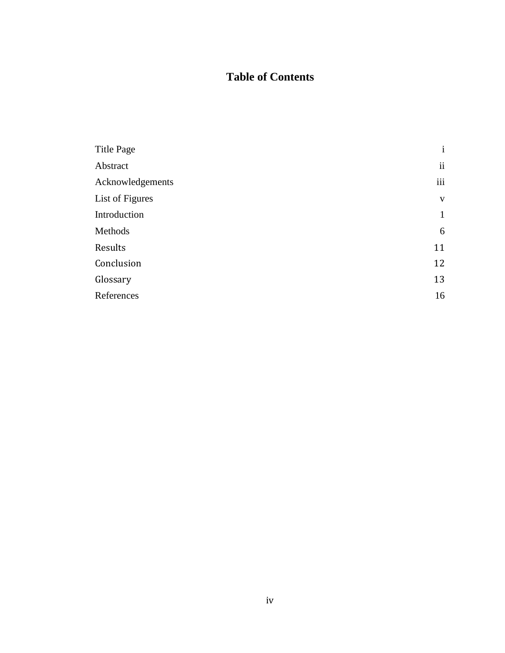# **Table of Contents**

| <b>Title Page</b> | $\mathbf{i}$ |
|-------------------|--------------|
| Abstract          | ii           |
| Acknowledgements  | iii          |
| List of Figures   | V            |
| Introduction      | $\mathbf{1}$ |
| Methods           | 6            |
| Results           | 11           |
| Conclusion        | 12           |
| Glossary          | 13           |
| References        | 16           |
|                   |              |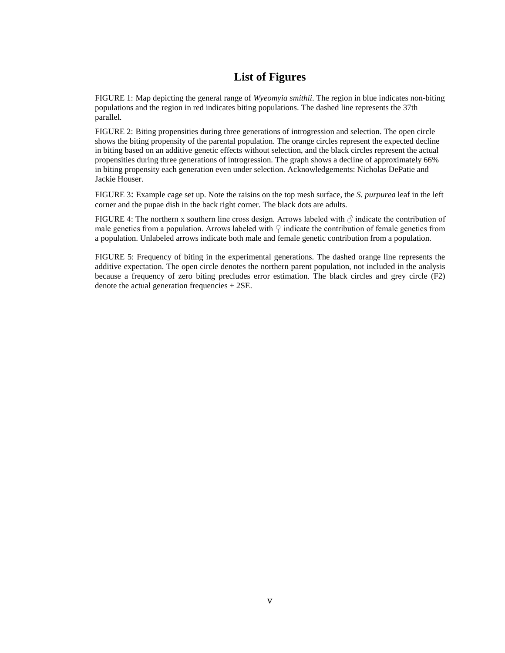### **List of Figures**

FIGURE 1: Map depicting the general range of *Wyeomyia smithii*. The region in blue indicates non-biting populations and the region in red indicates biting populations. The dashed line represents the 37th parallel.

FIGURE 2: Biting propensities during three generations of introgression and selection. The open circle shows the biting propensity of the parental population. The orange circles represent the expected decline in biting based on an additive genetic effects without selection, and the black circles represent the actual propensities during three generations of introgression. The graph shows a decline of approximately 66% in biting propensity each generation even under selection. Acknowledgements: Nicholas DePatie and Jackie Houser.

FIGURE 3: Example cage set up. Note the raisins on the top mesh surface, the *S. purpurea* leaf in the left corner and the pupae dish in the back right corner. The black dots are adults.

FIGURE 4: The northern x southern line cross design. Arrows labeled with  $\beta$  indicate the contribution of male genetics from a population. Arrows labeled with  $\varphi$  indicate the contribution of female genetics from a population. Unlabeled arrows indicate both male and female genetic contribution from a population.

FIGURE 5: Frequency of biting in the experimental generations. The dashed orange line represents the additive expectation. The open circle denotes the northern parent population, not included in the analysis because a frequency of zero biting precludes error estimation. The black circles and grey circle (F2) denote the actual generation frequencies  $\pm$  2SE.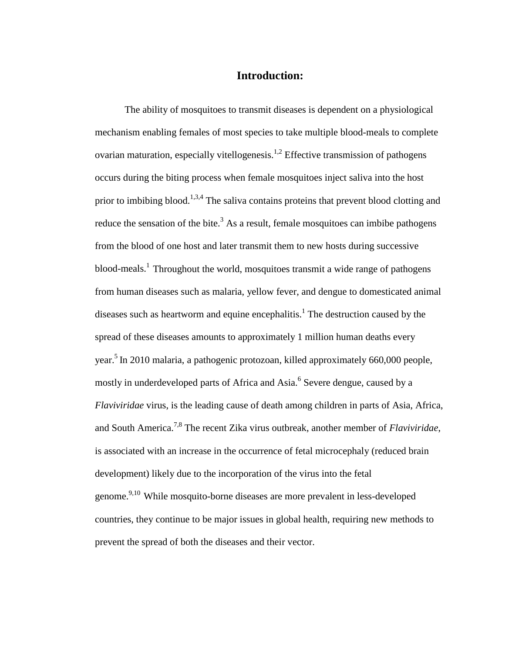#### **Introduction:**

The ability of mosquitoes to transmit diseases is dependent on a physiological mechanism enabling females of most species to take multiple blood-meals to complete ovarian maturation, especially vitellogenesis.<sup>1,2</sup> Effective transmission of pathogens occurs during the biting process when female mosquitoes inject saliva into the host prior to imbibing blood.<sup>1,3,4</sup> The saliva contains proteins that prevent blood clotting and reduce the sensation of the bite.<sup>3</sup> As a result, female mosquitoes can imbibe pathogens from the blood of one host and later transmit them to new hosts during successive blood-meals.<sup>1</sup> Throughout the world, mosquitoes transmit a wide range of pathogens from human diseases such as malaria, yellow fever, and dengue to domesticated animal diseases such as heartworm and equine encephalitis.<sup>1</sup> The destruction caused by the spread of these diseases amounts to approximately 1 million human deaths every year.<sup>5</sup> In 2010 malaria, a pathogenic protozoan, killed approximately 660,000 people, mostly in underdeveloped parts of Africa and Asia.<sup>6</sup> Severe dengue, caused by a *Flaviviridae* virus, is the leading cause of death among children in parts of Asia, Africa, and South America.7,8 The recent Zika virus outbreak, another member of *Flaviviridae*, is associated with an increase in the occurrence of fetal microcephaly (reduced brain development) likely due to the incorporation of the virus into the fetal genome.9,10 While mosquito-borne diseases are more prevalent in less-developed countries, they continue to be major issues in global health, requiring new methods to prevent the spread of both the diseases and their vector.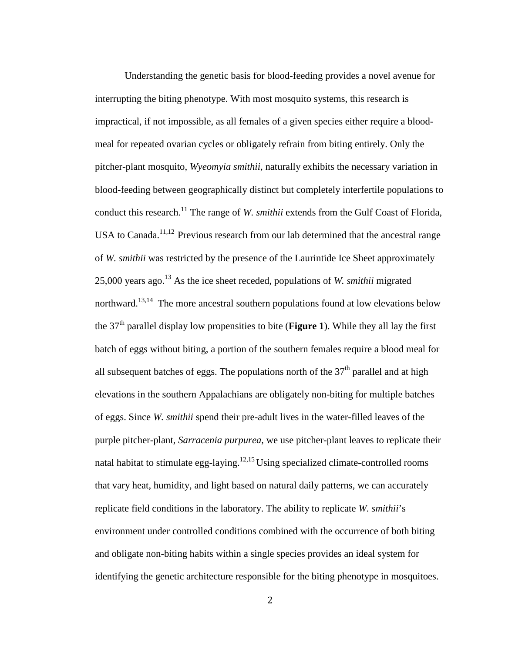Understanding the genetic basis for blood-feeding provides a novel avenue for interrupting the biting phenotype. With most mosquito systems, this research is impractical, if not impossible, as all females of a given species either require a bloodmeal for repeated ovarian cycles or obligately refrain from biting entirely. Only the pitcher-plant mosquito, *Wyeomyia smithii*, naturally exhibits the necessary variation in blood-feeding between geographically distinct but completely interfertile populations to conduct this research.<sup>11</sup> The range of *W. smithii* extends from the Gulf Coast of Florida, USA to Canada.<sup>11,12</sup> Previous research from our lab determined that the ancestral range of *W. smithii* was restricted by the presence of the Laurintide Ice Sheet approximately 25,000 years ago.<sup>13</sup> As the ice sheet receded, populations of *W. smithii* migrated northward.<sup>13,14</sup> The more ancestral southern populations found at low elevations below the 37th parallel display low propensities to bite (**Figure 1**). While they all lay the first batch of eggs without biting, a portion of the southern females require a blood meal for all subsequent batches of eggs. The populations north of the  $37<sup>th</sup>$  parallel and at high elevations in the southern Appalachians are obligately non-biting for multiple batches of eggs. Since *W. smithii* spend their pre-adult lives in the water-filled leaves of the purple pitcher-plant, *Sarracenia purpurea,* we use pitcher-plant leaves to replicate their natal habitat to stimulate egg-laying.<sup>12,15</sup> Using specialized climate-controlled rooms that vary heat, humidity, and light based on natural daily patterns, we can accurately replicate field conditions in the laboratory. The ability to replicate *W. smithii*'s environment under controlled conditions combined with the occurrence of both biting and obligate non-biting habits within a single species provides an ideal system for identifying the genetic architecture responsible for the biting phenotype in mosquitoes.

2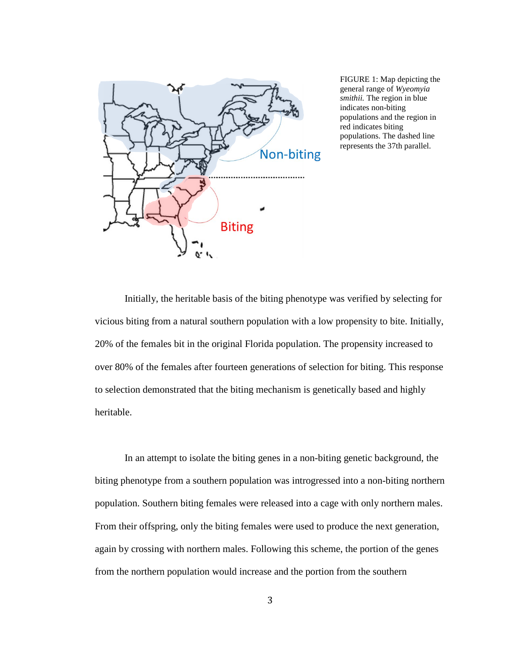

FIGURE 1: Map depicting the general range of *Wyeomyia smithii.* The region in blue indicates non-biting populations and the region in red indicates biting populations. The dashed line represents the 37th parallel.

Initially, the heritable basis of the biting phenotype was verified by selecting for vicious biting from a natural southern population with a low propensity to bite. Initially, 20% of the females bit in the original Florida population. The propensity increased to over 80% of the females after fourteen generations of selection for biting. This response to selection demonstrated that the biting mechanism is genetically based and highly heritable.

In an attempt to isolate the biting genes in a non-biting genetic background, the biting phenotype from a southern population was introgressed into a non-biting northern population. Southern biting females were released into a cage with only northern males. From their offspring, only the biting females were used to produce the next generation, again by crossing with northern males. Following this scheme, the portion of the genes from the northern population would increase and the portion from the southern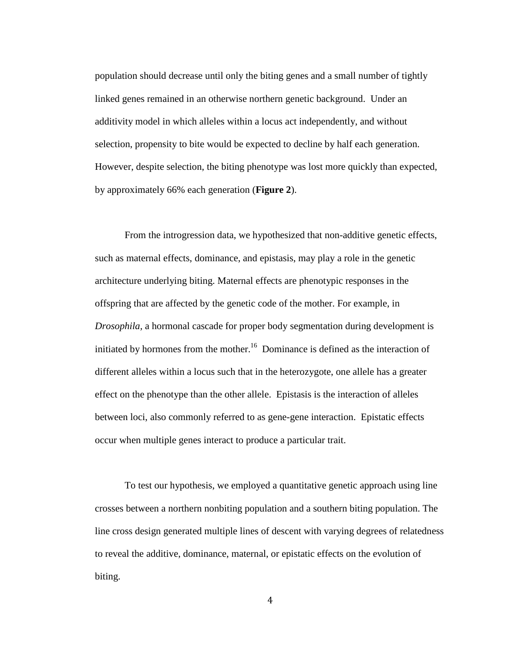population should decrease until only the biting genes and a small number of tightly linked genes remained in an otherwise northern genetic background. Under an additivity model in which alleles within a locus act independently, and without selection, propensity to bite would be expected to decline by half each generation. However, despite selection, the biting phenotype was lost more quickly than expected, by approximately 66% each generation (**Figure 2**).

From the introgression data, we hypothesized that non-additive genetic effects, such as maternal effects, dominance, and epistasis, may play a role in the genetic architecture underlying biting. Maternal effects are phenotypic responses in the offspring that are affected by the genetic code of the mother. For example, in *Drosophila,* a hormonal cascade for proper body segmentation during development is initiated by hormones from the mother.<sup>16</sup> Dominance is defined as the interaction of different alleles within a locus such that in the heterozygote, one allele has a greater effect on the phenotype than the other allele. Epistasis is the interaction of alleles between loci, also commonly referred to as gene-gene interaction. Epistatic effects occur when multiple genes interact to produce a particular trait.

To test our hypothesis, we employed a quantitative genetic approach using line crosses between a northern nonbiting population and a southern biting population. The line cross design generated multiple lines of descent with varying degrees of relatedness to reveal the additive, dominance, maternal, or epistatic effects on the evolution of biting.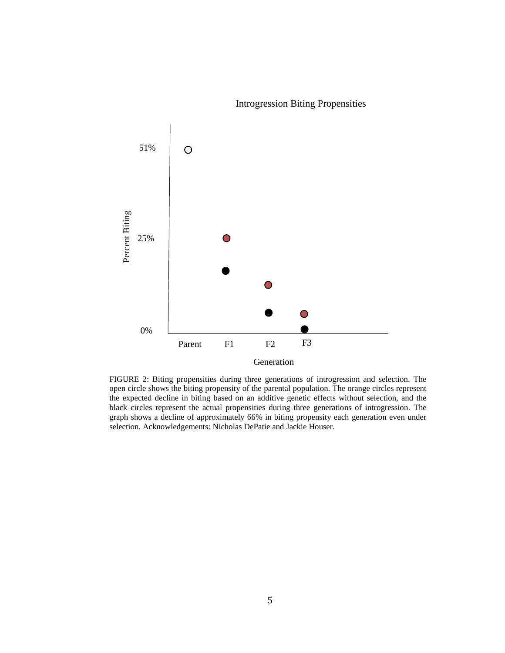

Introgression Biting Propensities

FIGURE 2: Biting propensities during three generations of introgression and selection. The open circle shows the biting propensity of the parental population. The orange circles represent the expected decline in biting based on an additive genetic effects without selection, and the black circles represent the actual propensities during three generations of introgression. The graph shows a decline of approximately 66% in biting propensity each generation even under selection. Acknowledgements: Nicholas DePatie and Jackie Houser.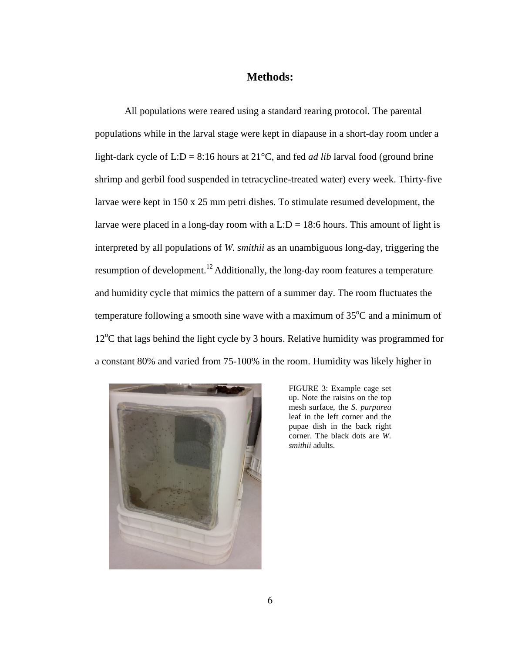#### **Methods:**

All populations were reared using a standard rearing protocol. The parental populations while in the larval stage were kept in diapause in a short-day room under a light-dark cycle of L:D = 8:16 hours at 21°C, and fed *ad lib* larval food (ground brine shrimp and gerbil food suspended in tetracycline-treated water) every week. Thirty-five larvae were kept in 150 x 25 mm petri dishes. To stimulate resumed development, the larvae were placed in a long-day room with a L: $D = 18:6$  hours. This amount of light is interpreted by all populations of *W. smithii* as an unambiguous long-day, triggering the resumption of development.12 Additionally, the long-day room features a temperature and humidity cycle that mimics the pattern of a summer day. The room fluctuates the temperature following a smooth sine wave with a maximum of  $35^{\circ}$ C and a minimum of 12°C that lags behind the light cycle by 3 hours. Relative humidity was programmed for a constant 80% and varied from 75-100% in the room. Humidity was likely higher in



FIGURE 3: Example cage set up. Note the raisins on the top mesh surface, the *S. purpurea* leaf in the left corner and the pupae dish in the back right corner. The black dots are *W. smithii* adults.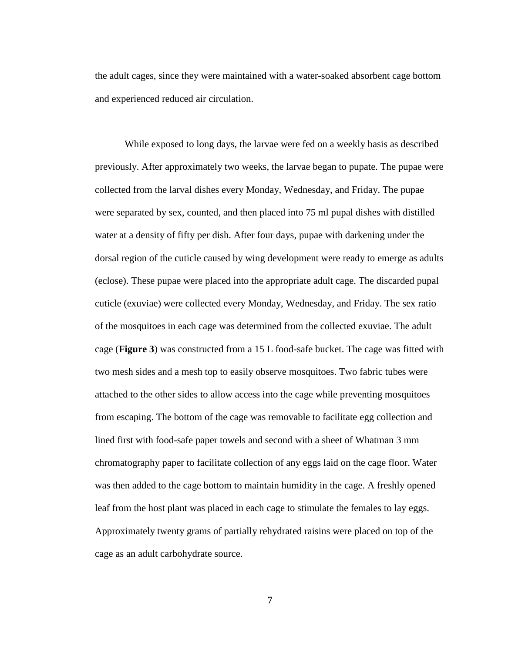the adult cages, since they were maintained with a water-soaked absorbent cage bottom and experienced reduced air circulation.

While exposed to long days, the larvae were fed on a weekly basis as described previously. After approximately two weeks, the larvae began to pupate. The pupae were collected from the larval dishes every Monday, Wednesday, and Friday. The pupae were separated by sex, counted, and then placed into 75 ml pupal dishes with distilled water at a density of fifty per dish. After four days, pupae with darkening under the dorsal region of the cuticle caused by wing development were ready to emerge as adults (eclose). These pupae were placed into the appropriate adult cage. The discarded pupal cuticle (exuviae) were collected every Monday, Wednesday, and Friday. The sex ratio of the mosquitoes in each cage was determined from the collected exuviae. The adult cage (**Figure 3**) was constructed from a 15 L food-safe bucket. The cage was fitted with two mesh sides and a mesh top to easily observe mosquitoes. Two fabric tubes were attached to the other sides to allow access into the cage while preventing mosquitoes from escaping. The bottom of the cage was removable to facilitate egg collection and lined first with food-safe paper towels and second with a sheet of Whatman 3 mm chromatography paper to facilitate collection of any eggs laid on the cage floor. Water was then added to the cage bottom to maintain humidity in the cage. A freshly opened leaf from the host plant was placed in each cage to stimulate the females to lay eggs. Approximately twenty grams of partially rehydrated raisins were placed on top of the cage as an adult carbohydrate source.

7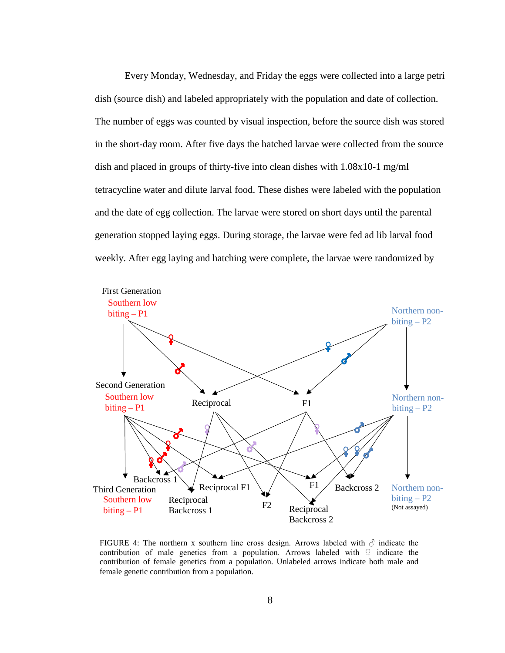Every Monday, Wednesday, and Friday the eggs were collected into a large petri dish (source dish) and labeled appropriately with the population and date of collection. The number of eggs was counted by visual inspection, before the source dish was stored in the short-day room. After five days the hatched larvae were collected from the source dish and placed in groups of thirty-five into clean dishes with 1.08x10-1 mg/ml tetracycline water and dilute larval food. These dishes were labeled with the population and the date of egg collection. The larvae were stored on short days until the parental generation stopped laying eggs. During storage, the larvae were fed ad lib larval food weekly. After egg laying and hatching were complete, the larvae were randomized by



FIGURE 4: The northern x southern line cross design. Arrows labeled with  $\delta$  indicate the contribution of male genetics from a population. Arrows labeled with  $\varphi$  indicate the contribution of female genetics from a population. Unlabeled arrows indicate both male and female genetic contribution from a population.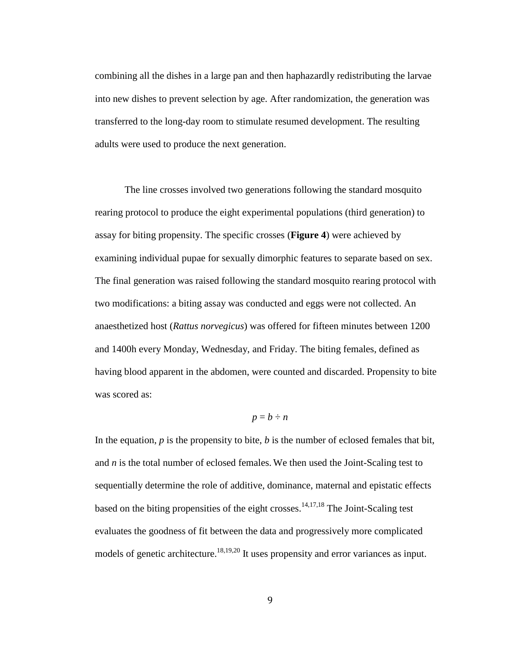combining all the dishes in a large pan and then haphazardly redistributing the larvae into new dishes to prevent selection by age. After randomization, the generation was transferred to the long-day room to stimulate resumed development. The resulting adults were used to produce the next generation.

The line crosses involved two generations following the standard mosquito rearing protocol to produce the eight experimental populations (third generation) to assay for biting propensity. The specific crosses (**Figure 4**) were achieved by examining individual pupae for sexually dimorphic features to separate based on sex. The final generation was raised following the standard mosquito rearing protocol with two modifications: a biting assay was conducted and eggs were not collected. An anaesthetized host (*Rattus norvegicus*) was offered for fifteen minutes between 1200 and 1400h every Monday, Wednesday, and Friday. The biting females, defined as having blood apparent in the abdomen, were counted and discarded. Propensity to bite was scored as:

# $p = b \div n$

In the equation,  $p$  is the propensity to bite,  $b$  is the number of eclosed females that bit, and *n* is the total number of eclosed females. We then used the Joint-Scaling test to sequentially determine the role of additive, dominance, maternal and epistatic effects based on the biting propensities of the eight crosses.<sup>14,17,18</sup> The Joint-Scaling test evaluates the goodness of fit between the data and progressively more complicated models of genetic architecture.<sup>18,19,20</sup> It uses propensity and error variances as input.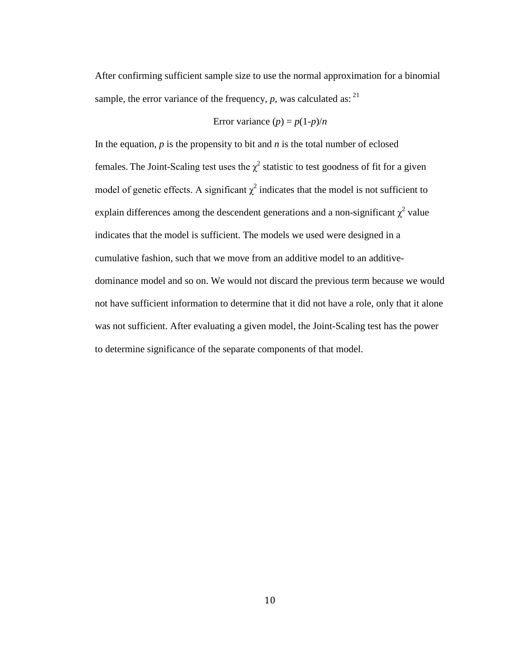After confirming sufficient sample size to use the normal approximation for a binomial sample, the error variance of the frequency,  $p$ , was calculated as:  $21$ 

Error variance 
$$
(p) = p(1-p)/n
$$

In the equation,  $p$  is the propensity to bit and  $n$  is the total number of eclosed females. The Joint-Scaling test uses the  $\chi^2$  statistic to test goodness of fit for a given model of genetic effects. A significant  $\chi^2$  indicates that the model is not sufficient to explain differences among the descendent generations and a non-significant  $\chi^2$  value indicates that the model is sufficient. The models we used were designed in a cumulative fashion, such that we move from an additive model to an additivedominance model and so on. We would not discard the previous term because we would not have sufficient information to determine that it did not have a role, only that it alone was not sufficient. After evaluating a given model, the Joint-Scaling test has the power to determine significance of the separate components of that model.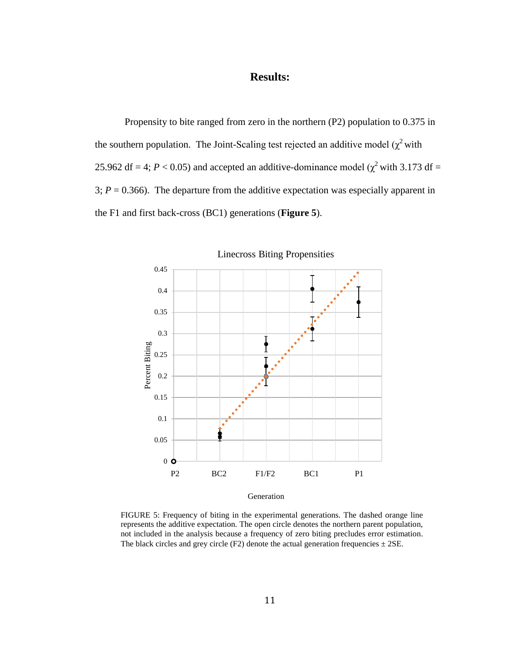# **Results:**

Propensity to bite ranged from zero in the northern (P2) population to 0.375 in the southern population. The Joint-Scaling test rejected an additive model ( $\chi^2$  with 25.962 df = 4;  $P < 0.05$ ) and accepted an additive-dominance model ( $\chi^2$  with 3.173 df = 3;  $P = 0.366$ ). The departure from the additive expectation was especially apparent in the F1 and first back-cross (BC1) generations (**Figure 5**).



Linecross Biting Propensities

FIGURE 5: Frequency of biting in the experimental generations. The dashed orange line represents the additive expectation. The open circle denotes the northern parent population, not included in the analysis because a frequency of zero biting precludes error estimation. The black circles and grey circle (F2) denote the actual generation frequencies  $\pm$  2SE.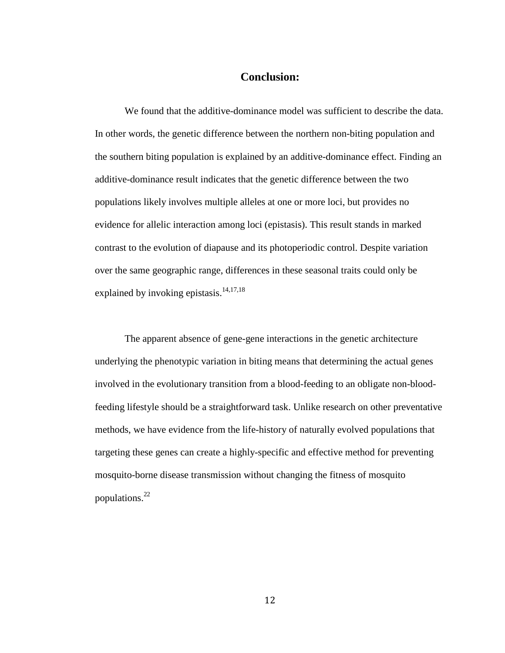#### **Conclusion:**

We found that the additive-dominance model was sufficient to describe the data. In other words, the genetic difference between the northern non-biting population and the southern biting population is explained by an additive-dominance effect. Finding an additive-dominance result indicates that the genetic difference between the two populations likely involves multiple alleles at one or more loci, but provides no evidence for allelic interaction among loci (epistasis). This result stands in marked contrast to the evolution of diapause and its photoperiodic control. Despite variation over the same geographic range, differences in these seasonal traits could only be explained by invoking epistasis. $14,17,18$ 

The apparent absence of gene-gene interactions in the genetic architecture underlying the phenotypic variation in biting means that determining the actual genes involved in the evolutionary transition from a blood-feeding to an obligate non-bloodfeeding lifestyle should be a straightforward task. Unlike research on other preventative methods, we have evidence from the life-history of naturally evolved populations that targeting these genes can create a highly-specific and effective method for preventing mosquito-borne disease transmission without changing the fitness of mosquito populations.22

12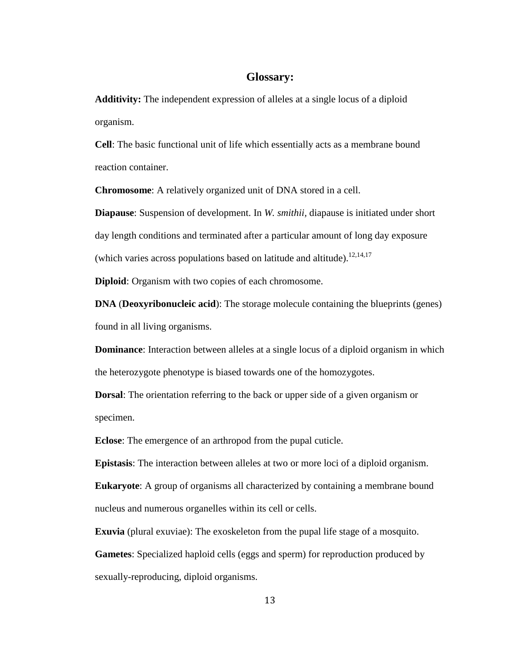#### **Glossary:**

**Additivity:** The independent expression of alleles at a single locus of a diploid organism.

**Cell**: The basic functional unit of life which essentially acts as a membrane bound reaction container.

**Chromosome**: A relatively organized unit of DNA stored in a cell.

**Diapause**: Suspension of development. In *W. smithii,* diapause is initiated under short day length conditions and terminated after a particular amount of long day exposure (which varies across populations based on latitude and altitude).<sup>12,14,17</sup>

**Diploid**: Organism with two copies of each chromosome.

**DNA** (**Deoxyribonucleic acid**): The storage molecule containing the blueprints (genes) found in all living organisms.

**Dominance**: Interaction between alleles at a single locus of a diploid organism in which the heterozygote phenotype is biased towards one of the homozygotes.

**Dorsal**: The orientation referring to the back or upper side of a given organism or specimen.

**Eclose**: The emergence of an arthropod from the pupal cuticle.

**Epistasis**: The interaction between alleles at two or more loci of a diploid organism.

**Eukaryote**: A group of organisms all characterized by containing a membrane bound nucleus and numerous organelles within its cell or cells.

**Exuvia** (plural exuviae): The exoskeleton from the pupal life stage of a mosquito. **Gametes**: Specialized haploid cells (eggs and sperm) for reproduction produced by sexually-reproducing, diploid organisms.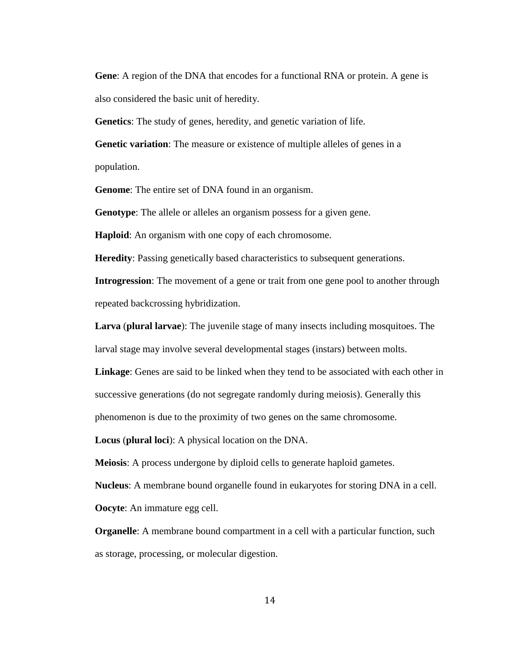**Gene**: A region of the DNA that encodes for a functional RNA or protein. A gene is also considered the basic unit of heredity.

**Genetics**: The study of genes, heredity, and genetic variation of life.

**Genetic variation**: The measure or existence of multiple alleles of genes in a population.

**Genome**: The entire set of DNA found in an organism.

**Genotype**: The allele or alleles an organism possess for a given gene.

**Haploid**: An organism with one copy of each chromosome.

**Heredity**: Passing genetically based characteristics to subsequent generations.

**Introgression**: The movement of a gene or trait from one gene pool to another through repeated backcrossing hybridization.

**Larva** (**plural larvae**): The juvenile stage of many insects including mosquitoes. The larval stage may involve several developmental stages (instars) between molts.

**Linkage**: Genes are said to be linked when they tend to be associated with each other in successive generations (do not segregate randomly during meiosis). Generally this phenomenon is due to the proximity of two genes on the same chromosome.

**Locus** (**plural loci**): A physical location on the DNA.

**Meiosis**: A process undergone by diploid cells to generate haploid gametes.

**Nucleus**: A membrane bound organelle found in eukaryotes for storing DNA in a cell.

**Oocyte**: An immature egg cell.

**Organelle**: A membrane bound compartment in a cell with a particular function, such as storage, processing, or molecular digestion.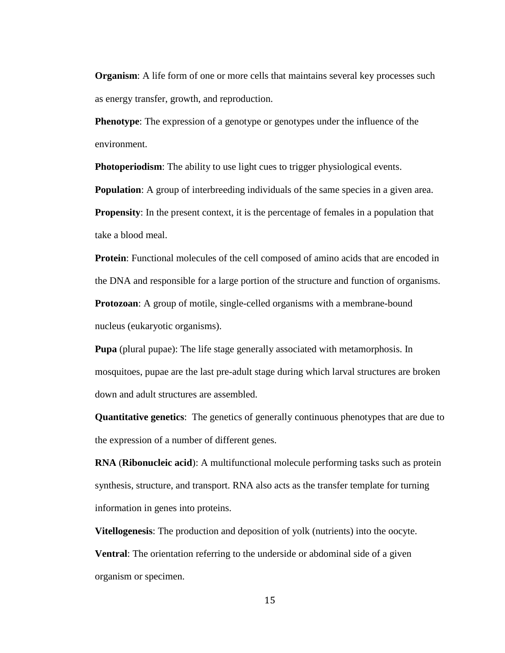**Organism**: A life form of one or more cells that maintains several key processes such as energy transfer, growth, and reproduction.

**Phenotype:** The expression of a genotype or genotypes under the influence of the environment.

**Photoperiodism:** The ability to use light cues to trigger physiological events.

**Population**: A group of interbreeding individuals of the same species in a given area.

**Propensity:** In the present context, it is the percentage of females in a population that take a blood meal.

**Protein:** Functional molecules of the cell composed of amino acids that are encoded in the DNA and responsible for a large portion of the structure and function of organisms. **Protozoan:** A group of motile, single-celled organisms with a membrane-bound

nucleus (eukaryotic organisms).

**Pupa** (plural pupae): The life stage generally associated with metamorphosis. In mosquitoes, pupae are the last pre-adult stage during which larval structures are broken down and adult structures are assembled.

**Quantitative genetics**: The genetics of generally continuous phenotypes that are due to the expression of a number of different genes.

**RNA** (**Ribonucleic acid**): A multifunctional molecule performing tasks such as protein synthesis, structure, and transport. RNA also acts as the transfer template for turning information in genes into proteins.

**Vitellogenesis**: The production and deposition of yolk (nutrients) into the oocyte. **Ventral**: The orientation referring to the underside or abdominal side of a given organism or specimen.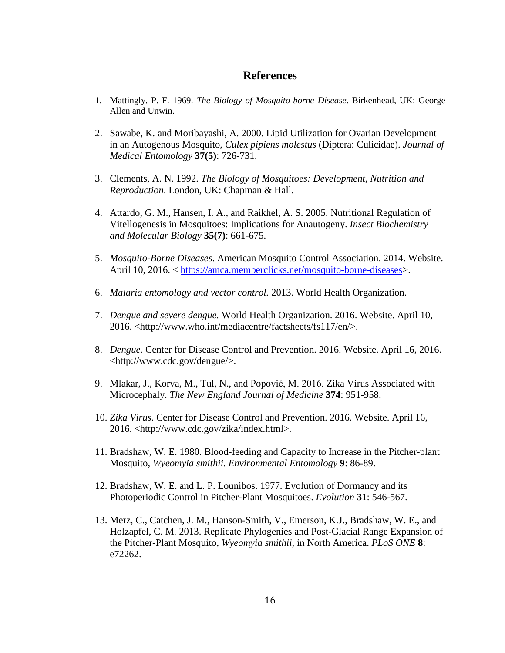#### **References**

- 1. Mattingly, P. F. 1969. *The Biology of Mosquito-borne Disease*. Birkenhead, UK: George Allen and Unwin.
- 2. Sawabe, K. and Moribayashi, A. 2000. Lipid Utilization for Ovarian Development in an Autogenous Mosquito, *Culex pipiens molestus* (Diptera: Culicidae). *Journal of Medical Entomology* **37(5)**: 726-731.
- 3. Clements, A. N. 1992. *The Biology of Mosquitoes: Development, Nutrition and Reproduction*. London, UK: Chapman & Hall.
- 4. Attardo, G. M., Hansen, I. A., and Raikhel, A. S. 2005. Nutritional Regulation of Vitellogenesis in Mosquitoes: Implications for Anautogeny. *Insect Biochemistry and Molecular Biology* **35(7)**: 661-675.
- 5. *Mosquito-Borne Diseases*. American Mosquito Control Association. 2014. Website. April 10, 2016. < [https://amca.memberclicks.net/mosquito-borne-diseases>](https://amca.memberclicks.net/mosquito-borne-diseases).
- 6. *Malaria entomology and vector control.* 2013. World Health Organization.
- 7. *Dengue and severe dengue.* World Health Organization. 2016. Website. April 10, 2016. <http://www.who.int/mediacentre/factsheets/fs117/en/>.
- 8. *Dengue.* Center for Disease Control and Prevention. 2016. Website. April 16, 2016. <http://www.cdc.gov/dengue/>.
- 9. Mlakar, J., Korva, M., Tul, N., and Popović, M. 2016. Zika Virus Associated with Microcephaly. *The New England Journal of Medicine* **374**: 951-958.
- 10. *Zika Virus*. Center for Disease Control and Prevention. 2016. Website. April 16, 2016. <http://www.cdc.gov/zika/index.html>.
- 11. Bradshaw, W. E. 1980. Blood-feeding and Capacity to Increase in the Pitcher-plant Mosquito, *Wyeomyia smithii. Environmental Entomology* **9**: 86-89.
- 12. Bradshaw, W. E. and L. P. Lounibos. 1977. Evolution of Dormancy and its Photoperiodic Control in Pitcher-Plant Mosquitoes. *Evolution* **31**: 546-567.
- 13. Merz, C., Catchen, J. M., Hanson-Smith, V., Emerson, K.J., Bradshaw, W. E., and Holzapfel, C. M*.* 2013. Replicate Phylogenies and Post-Glacial Range Expansion of the Pitcher-Plant Mosquito, *Wyeomyia smithii*, in North America. *PLoS ONE* **8**: e72262.